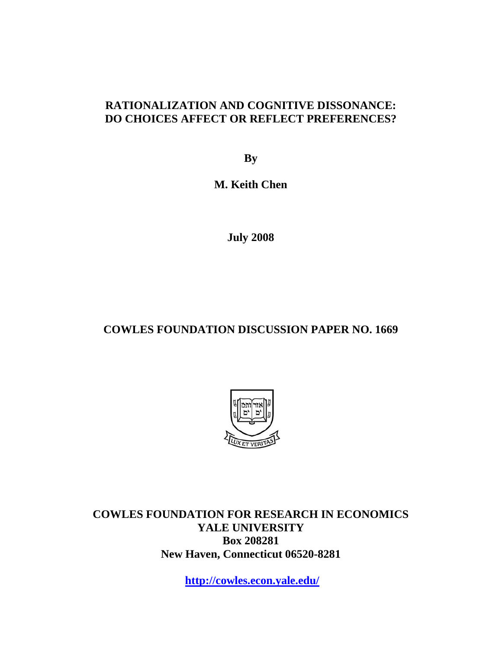# **RATIONALIZATION AND COGNITIVE DISSONANCE: DO CHOICES AFFECT OR REFLECT PREFERENCES?**

**By** 

**M. Keith Chen** 

**July 2008** 

# **COWLES FOUNDATION DISCUSSION PAPER NO. 1669**



**COWLES FOUNDATION FOR RESEARCH IN ECONOMICS YALE UNIVERSITY Box 208281 New Haven, Connecticut 06520-8281** 

**http://cowles.econ.yale.edu/**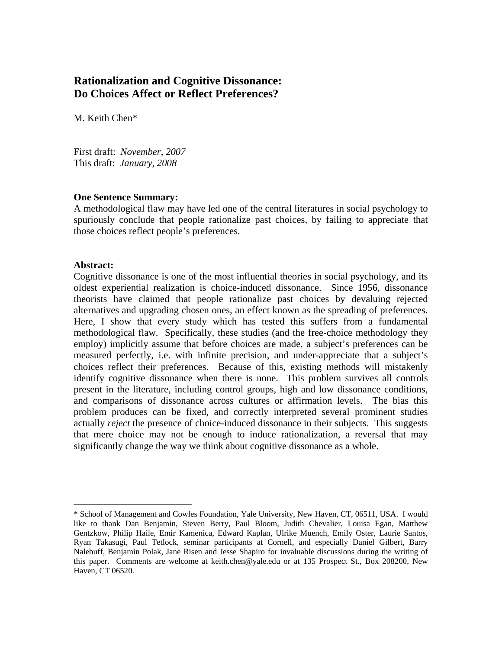# **Rationalization and Cognitive Dissonance: Do Choices Affect or Reflect Preferences?**

M. Keith Chen\*

First draft: *November, 2007*  This draft: *January, 2008* 

### **One Sentence Summary:**

A methodological flaw may have led one of the central literatures in social psychology to spuriously conclude that people rationalize past choices, by failing to appreciate that those choices reflect people's preferences.

### **Abstract:**

<u>.</u>

Cognitive dissonance is one of the most influential theories in social psychology, and its oldest experiential realization is choice-induced dissonance. Since 1956, dissonance theorists have claimed that people rationalize past choices by devaluing rejected alternatives and upgrading chosen ones, an effect known as the spreading of preferences. Here, I show that every study which has tested this suffers from a fundamental methodological flaw. Specifically, these studies (and the free-choice methodology they employ) implicitly assume that before choices are made, a subject's preferences can be measured perfectly, i.e. with infinite precision, and under-appreciate that a subject's choices reflect their preferences. Because of this, existing methods will mistakenly identify cognitive dissonance when there is none. This problem survives all controls present in the literature, including control groups, high and low dissonance conditions, and comparisons of dissonance across cultures or affirmation levels. The bias this problem produces can be fixed, and correctly interpreted several prominent studies actually *reject* the presence of choice-induced dissonance in their subjects. This suggests that mere choice may not be enough to induce rationalization, a reversal that may significantly change the way we think about cognitive dissonance as a whole.

<sup>\*</sup> School of Management and Cowles Foundation, Yale University, New Haven, CT, 06511, USA. I would like to thank Dan Benjamin, Steven Berry, Paul Bloom, Judith Chevalier, Louisa Egan, Matthew Gentzkow, Philip Haile, Emir Kamenica, Edward Kaplan, Ulrike Muench, Emily Oster, Laurie Santos, Ryan Takasugi, Paul Tetlock, seminar participants at Cornell, and especially Daniel Gilbert, Barry Nalebuff, Benjamin Polak, Jane Risen and Jesse Shapiro for invaluable discussions during the writing of this paper. Comments are welcome at keith.chen@yale.edu or at 135 Prospect St., Box 208200, New Haven, CT 06520.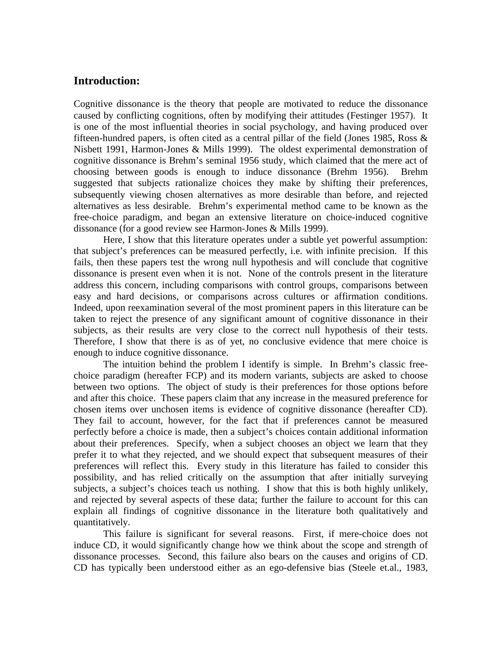# **Introduction:**

Cognitive dissonance is the theory that people are motivated to reduce the dissonance caused by conflicting cognitions, often by modifying their attitudes (Festinger 1957). It is one of the most influential theories in social psychology, and having produced over fifteen-hundred papers, is often cited as a central pillar of the field (Jones 1985, Ross & Nisbett 1991, Harmon-Jones & Mills 1999). The oldest experimental demonstration of cognitive dissonance is Brehm's seminal 1956 study, which claimed that the mere act of choosing between goods is enough to induce dissonance (Brehm 1956). Brehm suggested that subjects rationalize choices they make by shifting their preferences, subsequently viewing chosen alternatives as more desirable than before, and rejected alternatives as less desirable. Brehm's experimental method came to be known as the free-choice paradigm, and began an extensive literature on choice-induced cognitive dissonance (for a good review see Harmon-Jones & Mills 1999).

Here, I show that this literature operates under a subtle yet powerful assumption: that subject's preferences can be measured perfectly, i.e. with infinite precision. If this fails, then these papers test the wrong null hypothesis and will conclude that cognitive dissonance is present even when it is not. None of the controls present in the literature address this concern, including comparisons with control groups, comparisons between easy and hard decisions, or comparisons across cultures or affirmation conditions. Indeed, upon reexamination several of the most prominent papers in this literature can be taken to reject the presence of any significant amount of cognitive dissonance in their subjects, as their results are very close to the correct null hypothesis of their tests. Therefore, I show that there is as of yet, no conclusive evidence that mere choice is enough to induce cognitive dissonance.

The intuition behind the problem I identify is simple. In Brehm's classic freechoice paradigm (hereafter FCP) and its modern variants, subjects are asked to choose between two options. The object of study is their preferences for those options before and after this choice. These papers claim that any increase in the measured preference for chosen items over unchosen items is evidence of cognitive dissonance (hereafter CD). They fail to account, however, for the fact that if preferences cannot be measured perfectly before a choice is made, then a subject's choices contain additional information about their preferences. Specify, when a subject chooses an object we learn that they prefer it to what they rejected, and we should expect that subsequent measures of their preferences will reflect this. Every study in this literature has failed to consider this possibility, and has relied critically on the assumption that after initially surveying subjects, a subject's choices teach us nothing. I show that this is both highly unlikely, and rejected by several aspects of these data; further the failure to account for this can explain all findings of cognitive dissonance in the literature both qualitatively and quantitatively.

This failure is significant for several reasons. First, if mere-choice does not induce CD, it would significantly change how we think about the scope and strength of dissonance processes. Second, this failure also bears on the causes and origins of CD. CD has typically been understood either as an ego-defensive bias (Steele et.al., 1983,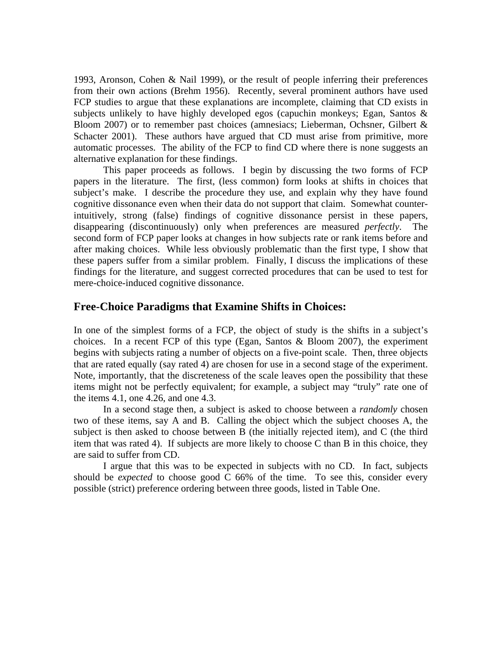1993, Aronson, Cohen & Nail 1999), or the result of people inferring their preferences from their own actions (Brehm 1956). Recently, several prominent authors have used FCP studies to argue that these explanations are incomplete, claiming that CD exists in subjects unlikely to have highly developed egos (capuchin monkeys; Egan, Santos & Bloom 2007) or to remember past choices (amnesiacs; Lieberman, Ochsner, Gilbert & Schacter 2001). These authors have argued that CD must arise from primitive, more automatic processes. The ability of the FCP to find CD where there is none suggests an alternative explanation for these findings.

This paper proceeds as follows. I begin by discussing the two forms of FCP papers in the literature. The first, (less common) form looks at shifts in choices that subject's make. I describe the procedure they use, and explain why they have found cognitive dissonance even when their data do not support that claim. Somewhat counterintuitively, strong (false) findings of cognitive dissonance persist in these papers, disappearing (discontinuously) only when preferences are measured *perfectly*. The second form of FCP paper looks at changes in how subjects rate or rank items before and after making choices. While less obviously problematic than the first type, I show that these papers suffer from a similar problem. Finally, I discuss the implications of these findings for the literature, and suggest corrected procedures that can be used to test for mere-choice-induced cognitive dissonance.

## **Free-Choice Paradigms that Examine Shifts in Choices:**

In one of the simplest forms of a FCP, the object of study is the shifts in a subject's choices. In a recent FCP of this type (Egan, Santos & Bloom 2007), the experiment begins with subjects rating a number of objects on a five-point scale. Then, three objects that are rated equally (say rated 4) are chosen for use in a second stage of the experiment. Note, importantly, that the discreteness of the scale leaves open the possibility that these items might not be perfectly equivalent; for example, a subject may "truly" rate one of the items 4.1, one 4.26, and one 4.3.

In a second stage then, a subject is asked to choose between a *randomly* chosen two of these items, say A and B. Calling the object which the subject chooses A, the subject is then asked to choose between B (the initially rejected item), and C (the third item that was rated 4). If subjects are more likely to choose C than B in this choice, they are said to suffer from CD.

 I argue that this was to be expected in subjects with no CD. In fact, subjects should be *expected* to choose good C 66% of the time. To see this, consider every possible (strict) preference ordering between three goods, listed in Table One.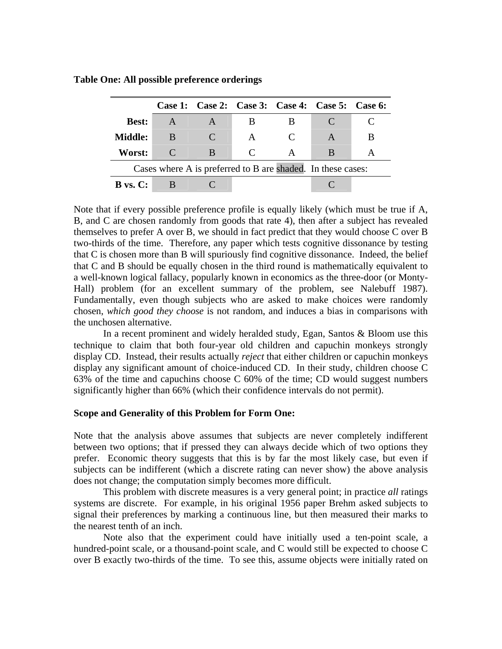|                         |                                                             |               |                             |   | Case 1: Case 2: Case 3: Case 4: Case 5: Case 6: |   |
|-------------------------|-------------------------------------------------------------|---------------|-----------------------------|---|-------------------------------------------------|---|
| <b>Best:</b>            |                                                             |               |                             |   |                                                 |   |
| <b>Middle:</b>          | B                                                           | $\mathcal{C}$ | A                           |   |                                                 | В |
| Worst:                  |                                                             | B             | $\mathcal{C}_{\mathcal{C}}$ | A | R                                               |   |
|                         | Cases where A is preferred to B are shaded. In these cases: |               |                             |   |                                                 |   |
| $\bf{B}$ vs. $\bf{C}$ : |                                                             |               |                             |   |                                                 |   |

**Table One: All possible preference orderings** 

Note that if every possible preference profile is equally likely (which must be true if A, B, and C are chosen randomly from goods that rate 4), then after a subject has revealed themselves to prefer A over B, we should in fact predict that they would choose C over B two-thirds of the time. Therefore, any paper which tests cognitive dissonance by testing that C is chosen more than B will spuriously find cognitive dissonance. Indeed, the belief that C and B should be equally chosen in the third round is mathematically equivalent to a well-known logical fallacy, popularly known in economics as the three-door (or Monty-Hall) problem (for an excellent summary of the problem, see Nalebuff 1987). Fundamentally, even though subjects who are asked to make choices were randomly chosen, *which good they choose* is not random, and induces a bias in comparisons with the unchosen alternative.

In a recent prominent and widely heralded study, Egan, Santos & Bloom use this technique to claim that both four-year old children and capuchin monkeys strongly display CD. Instead, their results actually *reject* that either children or capuchin monkeys display any significant amount of choice-induced CD. In their study, children choose C 63% of the time and capuchins choose C 60% of the time; CD would suggest numbers significantly higher than 66% (which their confidence intervals do not permit).

#### **Scope and Generality of this Problem for Form One:**

Note that the analysis above assumes that subjects are never completely indifferent between two options; that if pressed they can always decide which of two options they prefer. Economic theory suggests that this is by far the most likely case, but even if subjects can be indifferent (which a discrete rating can never show) the above analysis does not change; the computation simply becomes more difficult.

This problem with discrete measures is a very general point; in practice *all* ratings systems are discrete. For example, in his original 1956 paper Brehm asked subjects to signal their preferences by marking a continuous line, but then measured their marks to the nearest tenth of an inch.

Note also that the experiment could have initially used a ten-point scale, a hundred-point scale, or a thousand-point scale, and C would still be expected to choose C over B exactly two-thirds of the time. To see this, assume objects were initially rated on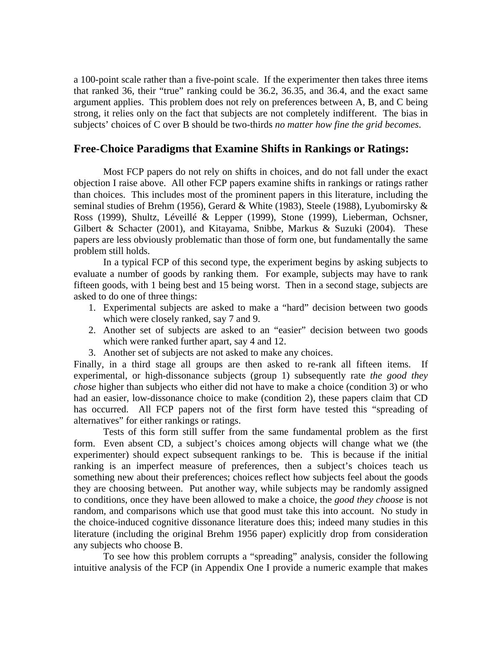a 100-point scale rather than a five-point scale. If the experimenter then takes three items that ranked 36, their "true" ranking could be 36.2, 36.35, and 36.4, and the exact same argument applies. This problem does not rely on preferences between A, B, and C being strong, it relies only on the fact that subjects are not completely indifferent. The bias in subjects' choices of C over B should be two-thirds *no matter how fine the grid becomes*.

## **Free-Choice Paradigms that Examine Shifts in Rankings or Ratings:**

Most FCP papers do not rely on shifts in choices, and do not fall under the exact objection I raise above. All other FCP papers examine shifts in rankings or ratings rather than choices. This includes most of the prominent papers in this literature, including the seminal studies of Brehm (1956), Gerard & White (1983), Steele (1988), Lyubomirsky & Ross (1999), Shultz, Léveillé & Lepper (1999), Stone (1999), Lieberman, Ochsner, Gilbert & Schacter (2001), and Kitayama, Snibbe, Markus & Suzuki (2004). These papers are less obviously problematic than those of form one, but fundamentally the same problem still holds.

In a typical FCP of this second type, the experiment begins by asking subjects to evaluate a number of goods by ranking them. For example, subjects may have to rank fifteen goods, with 1 being best and 15 being worst. Then in a second stage, subjects are asked to do one of three things:

- 1. Experimental subjects are asked to make a "hard" decision between two goods which were closely ranked, say 7 and 9.
- 2. Another set of subjects are asked to an "easier" decision between two goods which were ranked further apart, say 4 and 12.
- 3. Another set of subjects are not asked to make any choices.

Finally, in a third stage all groups are then asked to re-rank all fifteen items. If experimental, or high-dissonance subjects (group 1) subsequently rate *the good they chose* higher than subjects who either did not have to make a choice (condition 3) or who had an easier, low-dissonance choice to make (condition 2), these papers claim that CD has occurred. All FCP papers not of the first form have tested this "spreading of alternatives" for either rankings or ratings.

Tests of this form still suffer from the same fundamental problem as the first form. Even absent CD, a subject's choices among objects will change what we (the experimenter) should expect subsequent rankings to be. This is because if the initial ranking is an imperfect measure of preferences, then a subject's choices teach us something new about their preferences; choices reflect how subjects feel about the goods they are choosing between. Put another way, while subjects may be randomly assigned to conditions, once they have been allowed to make a choice, the *good they choose* is not random, and comparisons which use that good must take this into account. No study in the choice-induced cognitive dissonance literature does this; indeed many studies in this literature (including the original Brehm 1956 paper) explicitly drop from consideration any subjects who choose B.

To see how this problem corrupts a "spreading" analysis, consider the following intuitive analysis of the FCP (in Appendix One I provide a numeric example that makes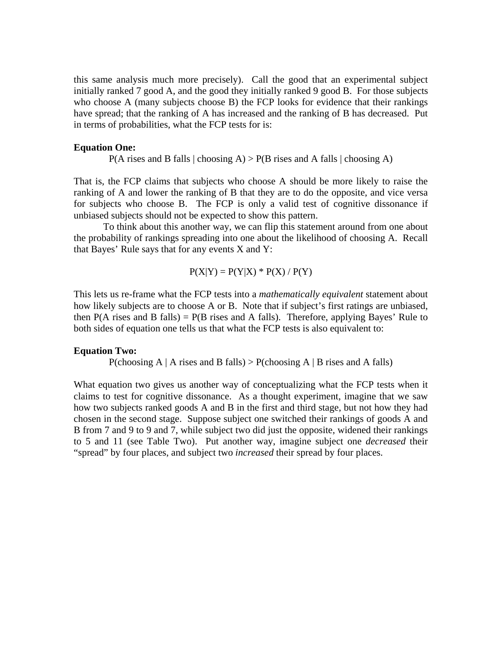this same analysis much more precisely). Call the good that an experimental subject initially ranked 7 good A, and the good they initially ranked 9 good B. For those subjects who choose A (many subjects choose B) the FCP looks for evidence that their rankings have spread; that the ranking of A has increased and the ranking of B has decreased. Put in terms of probabilities, what the FCP tests for is:

#### **Equation One:**

 $P(A \text{ rises and } B \text{ falls } | \text{ choosing } A) > P(B \text{ rises and } A \text{ falls } | \text{ choosing } A)$ 

That is, the FCP claims that subjects who choose A should be more likely to raise the ranking of A and lower the ranking of B that they are to do the opposite, and vice versa for subjects who choose B. The FCP is only a valid test of cognitive dissonance if unbiased subjects should not be expected to show this pattern.

To think about this another way, we can flip this statement around from one about the probability of rankings spreading into one about the likelihood of choosing A. Recall that Bayes' Rule says that for any events X and Y:

$$
P(X|Y) = P(Y|X) * P(X) / P(Y)
$$

This lets us re-frame what the FCP tests into a *mathematically equivalent* statement about how likely subjects are to choose A or B. Note that if subject's first ratings are unbiased, then  $P(A \text{ rises and } B \text{ falls}) = P(B \text{ rises and } A \text{ falls})$ . Therefore, applying Bayes' Rule to both sides of equation one tells us that what the FCP tests is also equivalent to:

#### **Equation Two:**

P(choosing A | A rises and B falls) > P(choosing A | B rises and A falls)

What equation two gives us another way of conceptualizing what the FCP tests when it claims to test for cognitive dissonance. As a thought experiment, imagine that we saw how two subjects ranked goods A and B in the first and third stage, but not how they had chosen in the second stage. Suppose subject one switched their rankings of goods A and B from 7 and 9 to 9 and 7, while subject two did just the opposite, widened their rankings to 5 and 11 (see Table Two). Put another way, imagine subject one *decreased* their "spread" by four places, and subject two *increased* their spread by four places.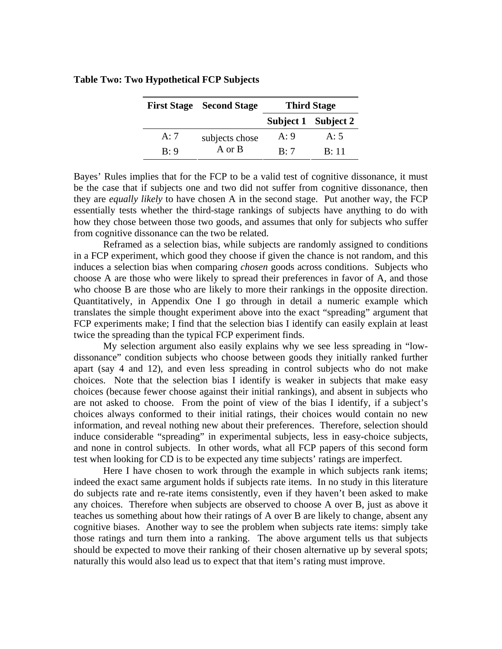|     | <b>First Stage Second Stage</b> | <b>Third Stage</b> |                     |
|-----|---------------------------------|--------------------|---------------------|
|     |                                 |                    | Subject 1 Subject 2 |
| A:7 | subjects chose                  | A:9                | A:5                 |
| R:9 | A or B                          | R:7                | R:11                |

#### **Table Two: Two Hypothetical FCP Subjects**

Bayes' Rules implies that for the FCP to be a valid test of cognitive dissonance, it must be the case that if subjects one and two did not suffer from cognitive dissonance, then they are *equally likely* to have chosen A in the second stage. Put another way, the FCP essentially tests whether the third-stage rankings of subjects have anything to do with how they chose between those two goods, and assumes that only for subjects who suffer from cognitive dissonance can the two be related.

Reframed as a selection bias, while subjects are randomly assigned to conditions in a FCP experiment, which good they choose if given the chance is not random, and this induces a selection bias when comparing *chosen* goods across conditions. Subjects who choose A are those who were likely to spread their preferences in favor of A, and those who choose B are those who are likely to more their rankings in the opposite direction. Quantitatively, in Appendix One I go through in detail a numeric example which translates the simple thought experiment above into the exact "spreading" argument that FCP experiments make; I find that the selection bias I identify can easily explain at least twice the spreading than the typical FCP experiment finds.

My selection argument also easily explains why we see less spreading in "lowdissonance" condition subjects who choose between goods they initially ranked further apart (say 4 and 12), and even less spreading in control subjects who do not make choices. Note that the selection bias I identify is weaker in subjects that make easy choices (because fewer choose against their initial rankings), and absent in subjects who are not asked to choose. From the point of view of the bias I identify, if a subject's choices always conformed to their initial ratings, their choices would contain no new information, and reveal nothing new about their preferences. Therefore, selection should induce considerable "spreading" in experimental subjects, less in easy-choice subjects, and none in control subjects. In other words, what all FCP papers of this second form test when looking for CD is to be expected any time subjects' ratings are imperfect.

Here I have chosen to work through the example in which subjects rank items; indeed the exact same argument holds if subjects rate items. In no study in this literature do subjects rate and re-rate items consistently, even if they haven't been asked to make any choices. Therefore when subjects are observed to choose A over B, just as above it teaches us something about how their ratings of A over B are likely to change, absent any cognitive biases. Another way to see the problem when subjects rate items: simply take those ratings and turn them into a ranking. The above argument tells us that subjects should be expected to move their ranking of their chosen alternative up by several spots; naturally this would also lead us to expect that that item's rating must improve.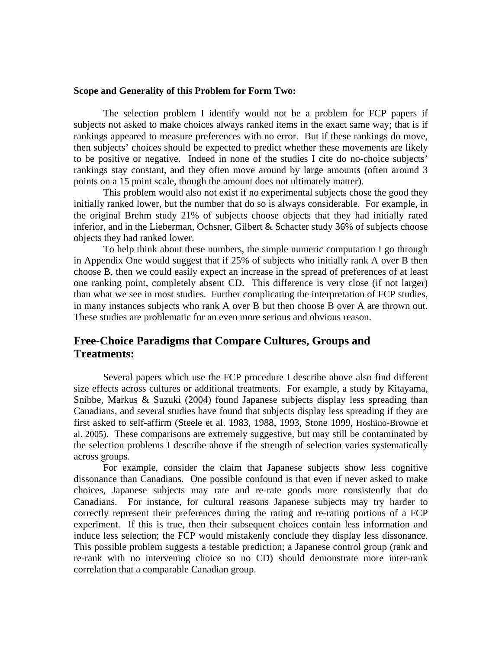#### **Scope and Generality of this Problem for Form Two:**

The selection problem I identify would not be a problem for FCP papers if subjects not asked to make choices always ranked items in the exact same way; that is if rankings appeared to measure preferences with no error. But if these rankings do move, then subjects' choices should be expected to predict whether these movements are likely to be positive or negative. Indeed in none of the studies I cite do no-choice subjects' rankings stay constant, and they often move around by large amounts (often around 3 points on a 15 point scale, though the amount does not ultimately matter).

This problem would also not exist if no experimental subjects chose the good they initially ranked lower, but the number that do so is always considerable. For example, in the original Brehm study 21% of subjects choose objects that they had initially rated inferior, and in the Lieberman, Ochsner, Gilbert & Schacter study 36% of subjects choose objects they had ranked lower.

To help think about these numbers, the simple numeric computation I go through in Appendix One would suggest that if 25% of subjects who initially rank A over B then choose B, then we could easily expect an increase in the spread of preferences of at least one ranking point, completely absent CD. This difference is very close (if not larger) than what we see in most studies. Further complicating the interpretation of FCP studies, in many instances subjects who rank A over B but then choose B over A are thrown out. These studies are problematic for an even more serious and obvious reason.

# **Free-Choice Paradigms that Compare Cultures, Groups and Treatments:**

Several papers which use the FCP procedure I describe above also find different size effects across cultures or additional treatments. For example, a study by Kitayama, Snibbe, Markus & Suzuki (2004) found Japanese subjects display less spreading than Canadians, and several studies have found that subjects display less spreading if they are first asked to self-affirm (Steele et al. 1983, 1988, 1993, Stone 1999, Hoshino-Browne et al. 2005). These comparisons are extremely suggestive, but may still be contaminated by the selection problems I describe above if the strength of selection varies systematically across groups.

For example, consider the claim that Japanese subjects show less cognitive dissonance than Canadians. One possible confound is that even if never asked to make choices, Japanese subjects may rate and re-rate goods more consistently that do Canadians. For instance, for cultural reasons Japanese subjects may try harder to correctly represent their preferences during the rating and re-rating portions of a FCP experiment. If this is true, then their subsequent choices contain less information and induce less selection; the FCP would mistakenly conclude they display less dissonance. This possible problem suggests a testable prediction; a Japanese control group (rank and re-rank with no intervening choice so no CD) should demonstrate more inter-rank correlation that a comparable Canadian group.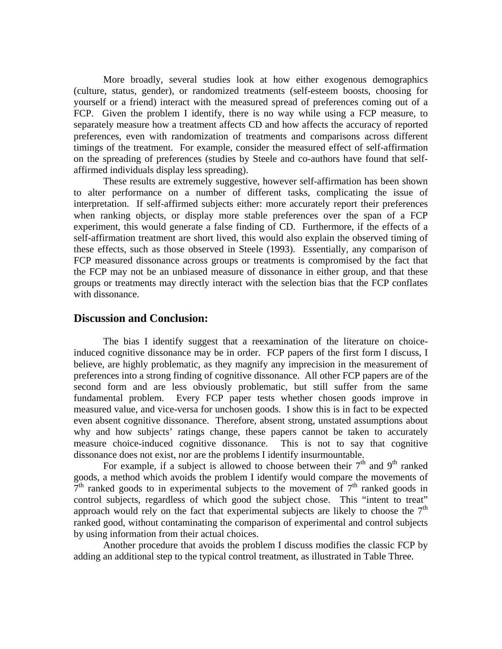More broadly, several studies look at how either exogenous demographics (culture, status, gender), or randomized treatments (self-esteem boosts, choosing for yourself or a friend) interact with the measured spread of preferences coming out of a FCP. Given the problem I identify, there is no way while using a FCP measure, to separately measure how a treatment affects CD and how affects the accuracy of reported preferences, even with randomization of treatments and comparisons across different timings of the treatment. For example, consider the measured effect of self-affirmation on the spreading of preferences (studies by Steele and co-authors have found that selfaffirmed individuals display less spreading).

These results are extremely suggestive, however self-affirmation has been shown to alter performance on a number of different tasks, complicating the issue of interpretation. If self-affirmed subjects either: more accurately report their preferences when ranking objects, or display more stable preferences over the span of a FCP experiment, this would generate a false finding of CD. Furthermore, if the effects of a self-affirmation treatment are short lived, this would also explain the observed timing of these effects, such as those observed in Steele (1993). Essentially, any comparison of FCP measured dissonance across groups or treatments is compromised by the fact that the FCP may not be an unbiased measure of dissonance in either group, and that these groups or treatments may directly interact with the selection bias that the FCP conflates with dissonance.

#### **Discussion and Conclusion:**

The bias I identify suggest that a reexamination of the literature on choiceinduced cognitive dissonance may be in order. FCP papers of the first form I discuss, I believe, are highly problematic, as they magnify any imprecision in the measurement of preferences into a strong finding of cognitive dissonance. All other FCP papers are of the second form and are less obviously problematic, but still suffer from the same fundamental problem. Every FCP paper tests whether chosen goods improve in measured value, and vice-versa for unchosen goods. I show this is in fact to be expected even absent cognitive dissonance. Therefore, absent strong, unstated assumptions about why and how subjects' ratings change, these papers cannot be taken to accurately measure choice-induced cognitive dissonance. This is not to say that cognitive dissonance does not exist, nor are the problems I identify insurmountable.

For example, if a subject is allowed to choose between their  $7<sup>th</sup>$  and  $9<sup>th</sup>$  ranked goods, a method which avoids the problem I identify would compare the movements of  $7<sup>th</sup>$  ranked goods to in experimental subjects to the movement of  $7<sup>th</sup>$  ranked goods in control subjects, regardless of which good the subject chose. This "intent to treat" approach would rely on the fact that experimental subjects are likely to choose the  $7<sup>th</sup>$ ranked good, without contaminating the comparison of experimental and control subjects by using information from their actual choices.

Another procedure that avoids the problem I discuss modifies the classic FCP by adding an additional step to the typical control treatment, as illustrated in Table Three.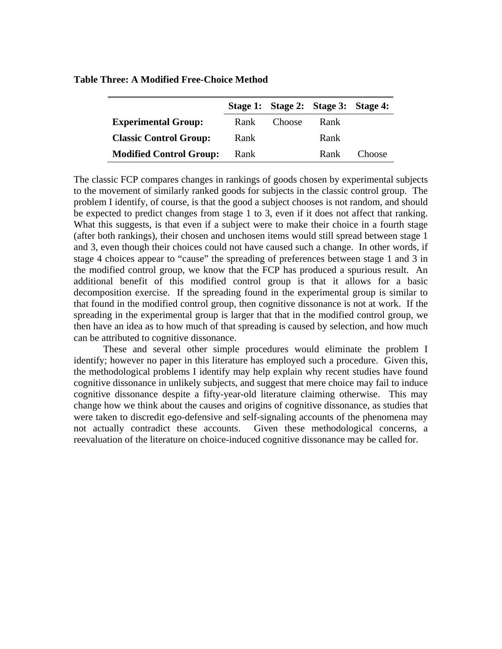|                                |      |        | Stage 1: Stage 2: Stage 3: Stage 4: |               |
|--------------------------------|------|--------|-------------------------------------|---------------|
| <b>Experimental Group:</b>     | Rank | Choose | Rank                                |               |
| <b>Classic Control Group:</b>  | Rank |        | Rank                                |               |
| <b>Modified Control Group:</b> | Rank |        | Rank                                | <b>Choose</b> |

**Table Three: A Modified Free-Choice Method** 

The classic FCP compares changes in rankings of goods chosen by experimental subjects to the movement of similarly ranked goods for subjects in the classic control group. The problem I identify, of course, is that the good a subject chooses is not random, and should be expected to predict changes from stage 1 to 3, even if it does not affect that ranking. What this suggests, is that even if a subject were to make their choice in a fourth stage (after both rankings), their chosen and unchosen items would still spread between stage 1 and 3, even though their choices could not have caused such a change. In other words, if stage 4 choices appear to "cause" the spreading of preferences between stage 1 and 3 in the modified control group, we know that the FCP has produced a spurious result. An additional benefit of this modified control group is that it allows for a basic decomposition exercise. If the spreading found in the experimental group is similar to that found in the modified control group, then cognitive dissonance is not at work. If the spreading in the experimental group is larger that that in the modified control group, we then have an idea as to how much of that spreading is caused by selection, and how much can be attributed to cognitive dissonance.

These and several other simple procedures would eliminate the problem I identify; however no paper in this literature has employed such a procedure. Given this, the methodological problems I identify may help explain why recent studies have found cognitive dissonance in unlikely subjects, and suggest that mere choice may fail to induce cognitive dissonance despite a fifty-year-old literature claiming otherwise. This may change how we think about the causes and origins of cognitive dissonance, as studies that were taken to discredit ego-defensive and self-signaling accounts of the phenomena may not actually contradict these accounts. Given these methodological concerns, a reevaluation of the literature on choice-induced cognitive dissonance may be called for.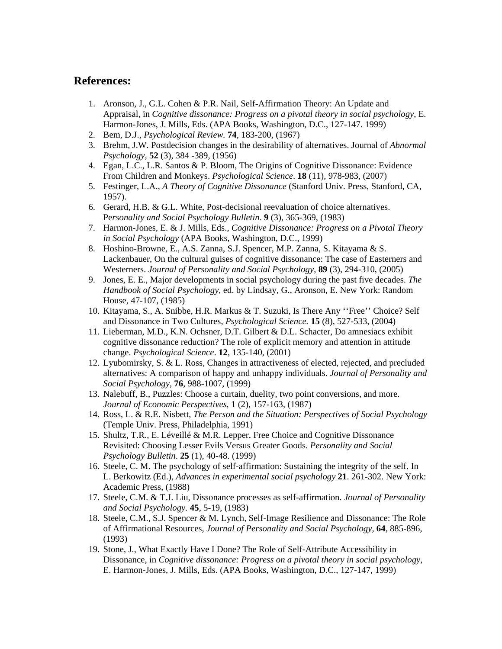## **References:**

- 1. Aronson, J., G.L. Cohen & P.R. Nail, Self-Affirmation Theory: An Update and Appraisal, in *Cognitive dissonance: Progress on a pivotal theory in social psychology*, E. Harmon-Jones, J. Mills, Eds. (APA Books, Washington, D.C., 127-147. 1999)
- 2. Bem, D.J., *Psychological Review.* **74**, 183-200, (1967)
- 3. Brehm, J.W. Postdecision changes in the desirability of alternatives. Journal of *Abnormal Psychology*, **52** (3), 384 -389, (1956)
- 4. Egan, L.C., L.R. Santos & P. Bloom, The Origins of Cognitive Dissonance: Evidence From Children and Monkeys. *Psychological Science*. **18** (11), 978-983, (2007)
- 5. Festinger, L.A., *A Theory of Cognitive Dissonance* (Stanford Univ. Press, Stanford, CA, 1957).
- 6. Gerard, H.B. & G.L. White, Post-decisional reevaluation of choice alternatives. Pe*rsonality and Social Psychology Bulletin*. **9** (3), 365-369, (1983)
- 7. Harmon-Jones, E. & J. Mills, Eds., *Cognitive Dissonance: Progress on a Pivotal Theory in Social Psychology* (APA Books, Washington, D.C., 1999)
- 8. Hoshino-Browne, E., A.S. Zanna, S.J. Spencer, M.P. Zanna, S. Kitayama & S. Lackenbauer, On the cultural guises of cognitive dissonance: The case of Easterners and Westerners. *Journal of Personality and Social Psychology*, **89** (3), 294-310, (2005)
- 9. Jones, E. E., Major developments in social psychology during the past five decades. *The Handbook of Social Psychology*, ed. by Lindsay, G., Aronson, E. New York: Random House, 47-107, (1985)
- 10. Kitayama, S., A. Snibbe, H.R. Markus & T. Suzuki, Is There Any ''Free'' Choice? Self and Dissonance in Two Cultures, *Psychological Science.* **15** (8), 527-533, (2004)
- 11. Lieberman, M.D., K.N. Ochsner, D.T. Gilbert & D.L. Schacter, Do amnesiacs exhibit cognitive dissonance reduction? The role of explicit memory and attention in attitude change. *Psychological Science*. **12**, 135-140, (2001)
- 12. Lyubomirsky, S. & L. Ross, Changes in attractiveness of elected, rejected, and precluded alternatives: A comparison of happy and unhappy individuals. *Journal of Personality and Social Psychology*, **76**, 988-1007, (1999)
- 13. Nalebuff, B., Puzzles: Choose a curtain, duelity, two point conversions, and more. *Journal of Economic Perspectives*, **1** (2), 157-163, (1987)
- 14. Ross, L. & R.E. Nisbett, *The Person and the Situation: Perspectives of Social Psychology* (Temple Univ. Press, Philadelphia, 1991)
- 15. Shultz, T.R., E. Léveillé & M.R. Lepper, Free Choice and Cognitive Dissonance Revisited: Choosing Lesser Evils Versus Greater Goods. *Personality and Social Psychology Bulletin*. **25** (1), 40-48. (1999)
- 16. Steele, C. M. The psychology of self-affirmation: Sustaining the integrity of the self. In L. Berkowitz (Ed.), *Advances in experimental social psychology* **21**. 261-302. New York: Academic Press, (1988)
- 17. Steele, C.M. & T.J. Liu, Dissonance processes as self-affirmation. *Journal of Personality and Social Psychology*. **45**, 5-19, (1983)
- 18. Steele, C.M., S.J. Spencer & M. Lynch, Self-Image Resilience and Dissonance: The Role of Affirmational Resources, *Journal of Personality and Social Psychology,* **64**, 885-896, (1993)
- 19. Stone, J., What Exactly Have I Done? The Role of Self-Attribute Accessibility in Dissonance, in *Cognitive dissonance: Progress on a pivotal theory in social psychology*, E. Harmon-Jones, J. Mills, Eds. (APA Books, Washington, D.C., 127-147, 1999)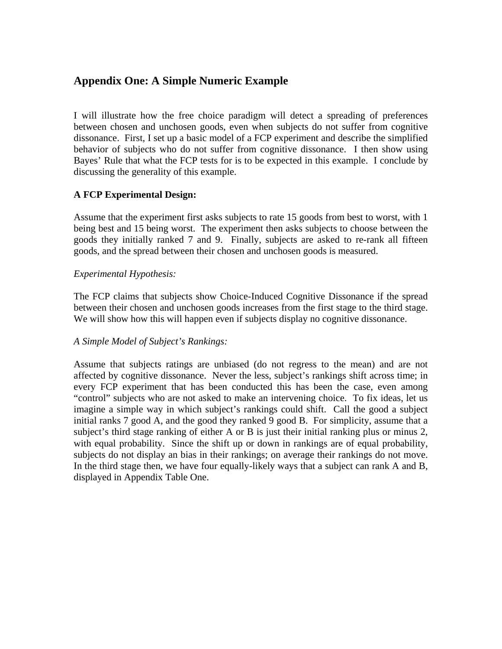# **Appendix One: A Simple Numeric Example**

I will illustrate how the free choice paradigm will detect a spreading of preferences between chosen and unchosen goods, even when subjects do not suffer from cognitive dissonance. First, I set up a basic model of a FCP experiment and describe the simplified behavior of subjects who do not suffer from cognitive dissonance. I then show using Bayes' Rule that what the FCP tests for is to be expected in this example. I conclude by discussing the generality of this example.

## **A FCP Experimental Design:**

Assume that the experiment first asks subjects to rate 15 goods from best to worst, with 1 being best and 15 being worst. The experiment then asks subjects to choose between the goods they initially ranked 7 and 9. Finally, subjects are asked to re-rank all fifteen goods, and the spread between their chosen and unchosen goods is measured.

## *Experimental Hypothesis:*

The FCP claims that subjects show Choice-Induced Cognitive Dissonance if the spread between their chosen and unchosen goods increases from the first stage to the third stage. We will show how this will happen even if subjects display no cognitive dissonance.

## *A Simple Model of Subject's Rankings:*

Assume that subjects ratings are unbiased (do not regress to the mean) and are not affected by cognitive dissonance. Never the less, subject's rankings shift across time; in every FCP experiment that has been conducted this has been the case, even among "control" subjects who are not asked to make an intervening choice. To fix ideas, let us imagine a simple way in which subject's rankings could shift. Call the good a subject initial ranks 7 good A, and the good they ranked 9 good B. For simplicity, assume that a subject's third stage ranking of either A or B is just their initial ranking plus or minus 2, with equal probability. Since the shift up or down in rankings are of equal probability, subjects do not display an bias in their rankings; on average their rankings do not move. In the third stage then, we have four equally-likely ways that a subject can rank A and B, displayed in Appendix Table One.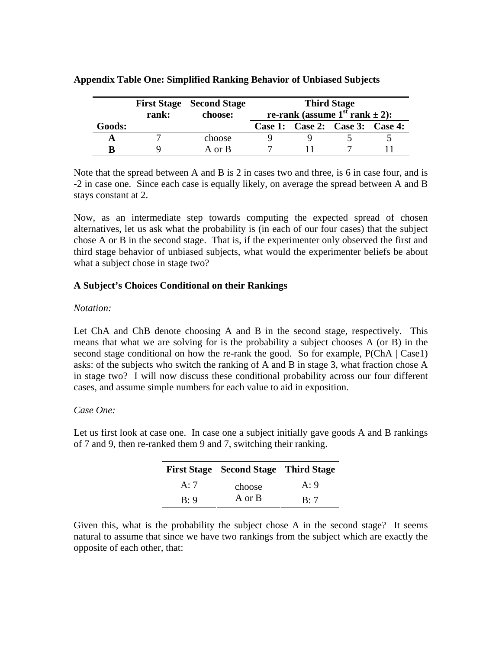|        | rank: | <b>First Stage Second Stage</b><br>choose: | <b>Third Stage</b><br>re-rank (assume $1st$ rank $\pm 2$ ): |  |                                 |  |
|--------|-------|--------------------------------------------|-------------------------------------------------------------|--|---------------------------------|--|
| Goods: |       |                                            |                                                             |  | Case 1: Case 2: Case 3: Case 4: |  |
|        |       | choose                                     |                                                             |  |                                 |  |
| B      |       | A or B                                     |                                                             |  |                                 |  |

## **Appendix Table One: Simplified Ranking Behavior of Unbiased Subjects**

Note that the spread between A and B is 2 in cases two and three, is 6 in case four, and is -2 in case one. Since each case is equally likely, on average the spread between A and B stays constant at 2.

Now, as an intermediate step towards computing the expected spread of chosen alternatives, let us ask what the probability is (in each of our four cases) that the subject chose A or B in the second stage. That is, if the experimenter only observed the first and third stage behavior of unbiased subjects, what would the experimenter beliefs be about what a subject chose in stage two?

## **A Subject's Choices Conditional on their Rankings**

## *Notation:*

Let ChA and ChB denote choosing A and B in the second stage, respectively. This means that what we are solving for is the probability a subject chooses A (or B) in the second stage conditional on how the re-rank the good. So for example,  $P(ChA | Case1)$ asks: of the subjects who switch the ranking of A and B in stage 3, what fraction chose A in stage two? I will now discuss these conditional probability across our four different cases, and assume simple numbers for each value to aid in exposition.

## *Case One:*

Let us first look at case one. In case one a subject initially gave goods A and B rankings of 7 and 9, then re-ranked them 9 and 7, switching their ranking.

|     | <b>First Stage Second Stage Third Stage</b> |     |
|-----|---------------------------------------------|-----|
| A:7 | choose                                      | A:9 |
| R:9 | A or B                                      | R:7 |

Given this, what is the probability the subject chose A in the second stage? It seems natural to assume that since we have two rankings from the subject which are exactly the opposite of each other, that: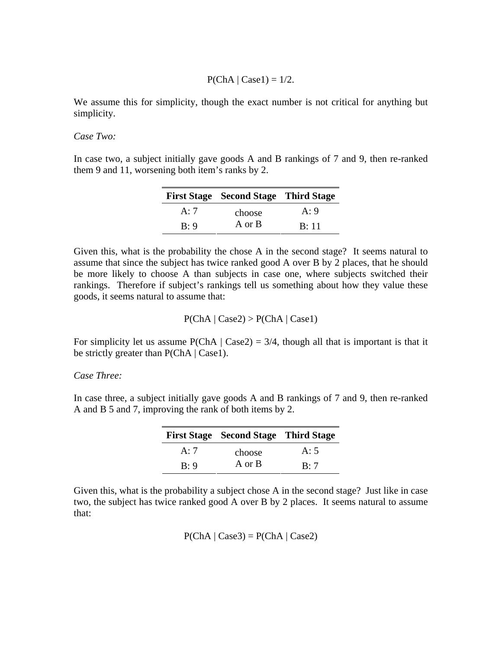$P(ChA | Case1) = 1/2.$ 

We assume this for simplicity, though the exact number is not critical for anything but simplicity.

*Case Two:* 

In case two, a subject initially gave goods A and B rankings of 7 and 9, then re-ranked them 9 and 11, worsening both item's ranks by 2.

|     | <b>First Stage Second Stage Third Stage</b> |      |
|-----|---------------------------------------------|------|
| A:7 | choose                                      | A:9  |
| B:9 | A or B                                      | B:11 |

Given this, what is the probability the chose A in the second stage? It seems natural to assume that since the subject has twice ranked good A over B by 2 places, that he should be more likely to choose A than subjects in case one, where subjects switched their rankings. Therefore if subject's rankings tell us something about how they value these goods, it seems natural to assume that:

$$
P(ChA | Case2) > P(ChA | Case1)
$$

For simplicity let us assume  $P(ChA | Case 2) = 3/4$ , though all that is important is that it be strictly greater than  $P(ChA | Case 1)$ .

## *Case Three:*

In case three, a subject initially gave goods A and B rankings of 7 and 9, then re-ranked A and B 5 and 7, improving the rank of both items by 2.

|     | <b>First Stage Second Stage Third Stage</b> |                |
|-----|---------------------------------------------|----------------|
| A:7 | choose                                      | A:5            |
| R:9 | A or B                                      | $\mathbf{R}:7$ |

Given this, what is the probability a subject chose A in the second stage? Just like in case two, the subject has twice ranked good A over B by 2 places. It seems natural to assume that:

 $P(ChA | Case3) = P(ChA | Case2)$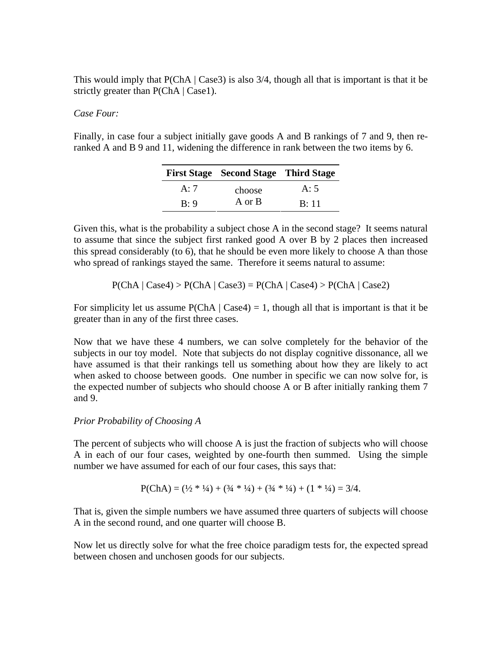This would imply that  $P(ChA | Case 3)$  is also 3/4, though all that is important is that it be strictly greater than  $P(ChA | Case 1)$ .

## *Case Four:*

Finally, in case four a subject initially gave goods A and B rankings of 7 and 9, then reranked A and B 9 and 11, widening the difference in rank between the two items by 6.

|     | <b>First Stage Second Stage Third Stage</b> |      |
|-----|---------------------------------------------|------|
| A:7 | choose                                      | A:5  |
| B:9 | A or B                                      | B:11 |

Given this, what is the probability a subject chose A in the second stage? It seems natural to assume that since the subject first ranked good A over B by 2 places then increased this spread considerably (to 6), that he should be even more likely to choose A than those who spread of rankings stayed the same. Therefore it seems natural to assume:

$$
P(ChA | Case4) > P(ChA | Case3) = P(ChA | Case4) > P(ChA | Case2)
$$

For simplicity let us assume  $P(ChA | Case 4) = 1$ , though all that is important is that it be greater than in any of the first three cases.

Now that we have these 4 numbers, we can solve completely for the behavior of the subjects in our toy model. Note that subjects do not display cognitive dissonance, all we have assumed is that their rankings tell us something about how they are likely to act when asked to choose between goods. One number in specific we can now solve for, is the expected number of subjects who should choose A or B after initially ranking them 7 and 9.

#### *Prior Probability of Choosing A*

The percent of subjects who will choose A is just the fraction of subjects who will choose A in each of our four cases, weighted by one-fourth then summed. Using the simple number we have assumed for each of our four cases, this says that:

$$
P(ChA) = (\frac{1}{2} * \frac{1}{4}) + (\frac{3}{4} * \frac{1}{4}) + (\frac{3}{4} * \frac{1}{4}) + (1 * \frac{1}{4}) = \frac{3}{4}.
$$

That is, given the simple numbers we have assumed three quarters of subjects will choose A in the second round, and one quarter will choose B.

Now let us directly solve for what the free choice paradigm tests for, the expected spread between chosen and unchosen goods for our subjects.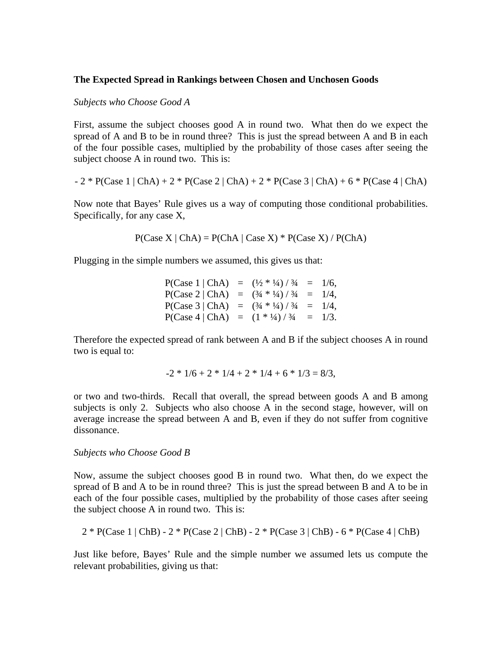## **The Expected Spread in Rankings between Chosen and Unchosen Goods**

#### *Subjects who Choose Good A*

First, assume the subject chooses good A in round two. What then do we expect the spread of A and B to be in round three? This is just the spread between A and B in each of the four possible cases, multiplied by the probability of those cases after seeing the subject choose A in round two. This is:

- 2 \* P(Case 1 | ChA) + 2 \* P(Case 2 | ChA) + 2 \* P(Case 3 | ChA) + 6 \* P(Case 4 | ChA)

Now note that Bayes' Rule gives us a way of computing those conditional probabilities. Specifically, for any case X,

 $P(Case X | ChA) = P(ChA | Case X) * P(Case X) / P(ChA)$ 

Plugging in the simple numbers we assumed, this gives us that:

| P(Case 1   ChA)                              | $=$ $(\frac{1}{2} * 1/4) / 3/4 = 1/6,$ |  |
|----------------------------------------------|----------------------------------------|--|
| $P(Case 2   ChA) = (3/4 * 1/4) / 3/4 = 1/4,$ |                                        |  |
| $P(Case 3   ChA) = (3/4 * 1/4) / 3/4 = 1/4,$ |                                        |  |
| $P(Case 4   ChA) = (1 * 1/4) / 3/4 = 1/3.$   |                                        |  |

Therefore the expected spread of rank between A and B if the subject chooses A in round two is equal to:

$$
-2 * 1/6 + 2 * 1/4 + 2 * 1/4 + 6 * 1/3 = 8/3,
$$

or two and two-thirds. Recall that overall, the spread between goods A and B among subjects is only 2. Subjects who also choose A in the second stage, however, will on average increase the spread between A and B, even if they do not suffer from cognitive dissonance.

#### *Subjects who Choose Good B*

Now, assume the subject chooses good B in round two. What then, do we expect the spread of B and A to be in round three? This is just the spread between B and A to be in each of the four possible cases, multiplied by the probability of those cases after seeing the subject choose A in round two. This is:

$$
2 * P(Case 1 | ChB) - 2 * P(Case 2 | ChB) - 2 * P(Case 3 | ChB) - 6 * P(Case 4 | ChB)
$$

Just like before, Bayes' Rule and the simple number we assumed lets us compute the relevant probabilities, giving us that: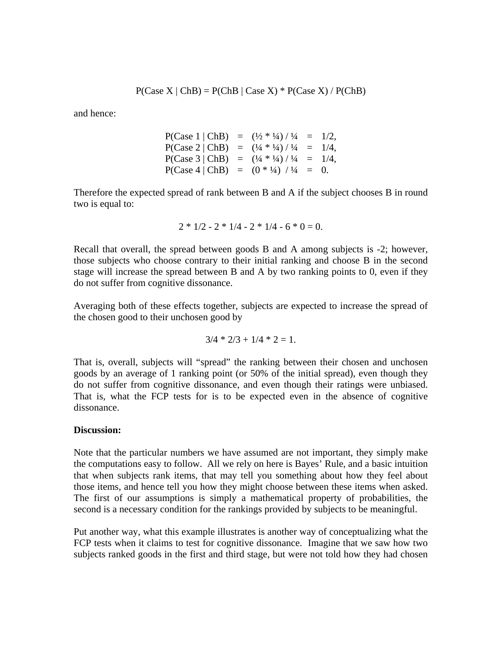$P(Case X | ChB) = P(ChB | Case X) * P(Case X) / P(ChB)$ 

and hence:

$$
P(Case 1 | ChB) = (\frac{1}{2} * \frac{1}{4}) / \frac{1}{4} = \frac{1}{2},
$$
  
\n
$$
P(Case 2 | ChB) = (\frac{1}{4} * \frac{1}{4}) / \frac{1}{4} = \frac{1}{4},
$$
  
\n
$$
P(Case 3 | ChB) = (\frac{1}{4} * \frac{1}{4}) / \frac{1}{4} = \frac{1}{4},
$$
  
\n
$$
P(Case 4 | ChB) = (0 * \frac{1}{4}) / \frac{1}{4} = 0.
$$

Therefore the expected spread of rank between B and A if the subject chooses B in round two is equal to:

$$
2 * 1/2 - 2 * 1/4 - 2 * 1/4 - 6 * 0 = 0.
$$

Recall that overall, the spread between goods B and A among subjects is -2; however, those subjects who choose contrary to their initial ranking and choose B in the second stage will increase the spread between B and A by two ranking points to 0, even if they do not suffer from cognitive dissonance.

Averaging both of these effects together, subjects are expected to increase the spread of the chosen good to their unchosen good by

$$
3/4 * 2/3 + 1/4 * 2 = 1.
$$

That is, overall, subjects will "spread" the ranking between their chosen and unchosen goods by an average of 1 ranking point (or 50% of the initial spread), even though they do not suffer from cognitive dissonance, and even though their ratings were unbiased. That is, what the FCP tests for is to be expected even in the absence of cognitive dissonance.

#### **Discussion:**

Note that the particular numbers we have assumed are not important, they simply make the computations easy to follow. All we rely on here is Bayes' Rule, and a basic intuition that when subjects rank items, that may tell you something about how they feel about those items, and hence tell you how they might choose between these items when asked. The first of our assumptions is simply a mathematical property of probabilities, the second is a necessary condition for the rankings provided by subjects to be meaningful.

Put another way, what this example illustrates is another way of conceptualizing what the FCP tests when it claims to test for cognitive dissonance. Imagine that we saw how two subjects ranked goods in the first and third stage, but were not told how they had chosen